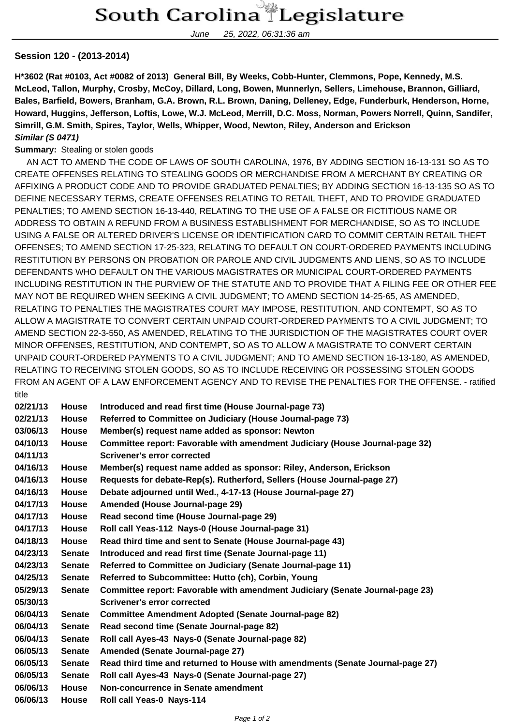June 25, 2022, 06:31:36 am

## **Session 120 - (2013-2014)**

**H\*3602 (Rat #0103, Act #0082 of 2013) General Bill, By Weeks, Cobb-Hunter, Clemmons, Pope, Kennedy, M.S. McLeod, Tallon, Murphy, Crosby, McCoy, Dillard, Long, Bowen, Munnerlyn, Sellers, Limehouse, Brannon, Gilliard, Bales, Barfield, Bowers, Branham, G.A. Brown, R.L. Brown, Daning, Delleney, Edge, Funderburk, Henderson, Horne, Howard, Huggins, Jefferson, Loftis, Lowe, W.J. McLeod, Merrill, D.C. Moss, Norman, Powers Norrell, Quinn, Sandifer, Simrill, G.M. Smith, Spires, Taylor, Wells, Whipper, Wood, Newton, Riley, Anderson and Erickson Similar (S 0471)**

## **Summary:** Stealing or stolen goods

 AN ACT TO AMEND THE CODE OF LAWS OF SOUTH CAROLINA, 1976, BY ADDING SECTION 16-13-131 SO AS TO CREATE OFFENSES RELATING TO STEALING GOODS OR MERCHANDISE FROM A MERCHANT BY CREATING OR AFFIXING A PRODUCT CODE AND TO PROVIDE GRADUATED PENALTIES; BY ADDING SECTION 16-13-135 SO AS TO DEFINE NECESSARY TERMS, CREATE OFFENSES RELATING TO RETAIL THEFT, AND TO PROVIDE GRADUATED PENALTIES; TO AMEND SECTION 16-13-440, RELATING TO THE USE OF A FALSE OR FICTITIOUS NAME OR ADDRESS TO OBTAIN A REFUND FROM A BUSINESS ESTABLISHMENT FOR MERCHANDISE, SO AS TO INCLUDE USING A FALSE OR ALTERED DRIVER'S LICENSE OR IDENTIFICATION CARD TO COMMIT CERTAIN RETAIL THEFT OFFENSES; TO AMEND SECTION 17-25-323, RELATING TO DEFAULT ON COURT-ORDERED PAYMENTS INCLUDING RESTITUTION BY PERSONS ON PROBATION OR PAROLE AND CIVIL JUDGMENTS AND LIENS, SO AS TO INCLUDE DEFENDANTS WHO DEFAULT ON THE VARIOUS MAGISTRATES OR MUNICIPAL COURT-ORDERED PAYMENTS INCLUDING RESTITUTION IN THE PURVIEW OF THE STATUTE AND TO PROVIDE THAT A FILING FEE OR OTHER FEE MAY NOT BE REQUIRED WHEN SEEKING A CIVIL JUDGMENT; TO AMEND SECTION 14-25-65, AS AMENDED, RELATING TO PENALTIES THE MAGISTRATES COURT MAY IMPOSE, RESTITUTION, AND CONTEMPT, SO AS TO ALLOW A MAGISTRATE TO CONVERT CERTAIN UNPAID COURT-ORDERED PAYMENTS TO A CIVIL JUDGMENT; TO AMEND SECTION 22-3-550, AS AMENDED, RELATING TO THE JURISDICTION OF THE MAGISTRATES COURT OVER MINOR OFFENSES, RESTITUTION, AND CONTEMPT, SO AS TO ALLOW A MAGISTRATE TO CONVERT CERTAIN UNPAID COURT-ORDERED PAYMENTS TO A CIVIL JUDGMENT; AND TO AMEND SECTION 16-13-180, AS AMENDED, RELATING TO RECEIVING STOLEN GOODS, SO AS TO INCLUDE RECEIVING OR POSSESSING STOLEN GOODS FROM AN AGENT OF A LAW ENFORCEMENT AGENCY AND TO REVISE THE PENALTIES FOR THE OFFENSE. - ratified title

| 02/21/13 | <b>House</b>  | Introduced and read first time (House Journal-page 73)                         |
|----------|---------------|--------------------------------------------------------------------------------|
| 02/21/13 | <b>House</b>  | Referred to Committee on Judiciary (House Journal-page 73)                     |
| 03/06/13 | <b>House</b>  | Member(s) request name added as sponsor: Newton                                |
| 04/10/13 | <b>House</b>  | Committee report: Favorable with amendment Judiciary (House Journal-page 32)   |
| 04/11/13 |               | Scrivener's error corrected                                                    |
| 04/16/13 | <b>House</b>  | Member(s) request name added as sponsor: Riley, Anderson, Erickson             |
| 04/16/13 | <b>House</b>  | Requests for debate-Rep(s). Rutherford, Sellers (House Journal-page 27)        |
| 04/16/13 | <b>House</b>  | Debate adjourned until Wed., 4-17-13 (House Journal-page 27)                   |
| 04/17/13 | <b>House</b>  | Amended (House Journal-page 29)                                                |
| 04/17/13 | <b>House</b>  | Read second time (House Journal-page 29)                                       |
| 04/17/13 | <b>House</b>  | Roll call Yeas-112 Nays-0 (House Journal-page 31)                              |
| 04/18/13 | <b>House</b>  | Read third time and sent to Senate (House Journal-page 43)                     |
| 04/23/13 | <b>Senate</b> | Introduced and read first time (Senate Journal-page 11)                        |
| 04/23/13 | <b>Senate</b> | Referred to Committee on Judiciary (Senate Journal-page 11)                    |
| 04/25/13 | <b>Senate</b> | Referred to Subcommittee: Hutto (ch), Corbin, Young                            |
| 05/29/13 | <b>Senate</b> | Committee report: Favorable with amendment Judiciary (Senate Journal-page 23)  |
| 05/30/13 |               | Scrivener's error corrected                                                    |
| 06/04/13 | <b>Senate</b> | <b>Committee Amendment Adopted (Senate Journal-page 82)</b>                    |
| 06/04/13 | <b>Senate</b> | Read second time (Senate Journal-page 82)                                      |
| 06/04/13 | <b>Senate</b> | Roll call Ayes-43 Nays-0 (Senate Journal-page 82)                              |
| 06/05/13 | <b>Senate</b> | Amended (Senate Journal-page 27)                                               |
| 06/05/13 | <b>Senate</b> | Read third time and returned to House with amendments (Senate Journal-page 27) |
| 06/05/13 | <b>Senate</b> | Roll call Ayes-43 Nays-0 (Senate Journal-page 27)                              |
| 06/06/13 | <b>House</b>  | Non-concurrence in Senate amendment                                            |
| 06/06/13 | <b>House</b>  | Roll call Yeas-0 Nays-114                                                      |